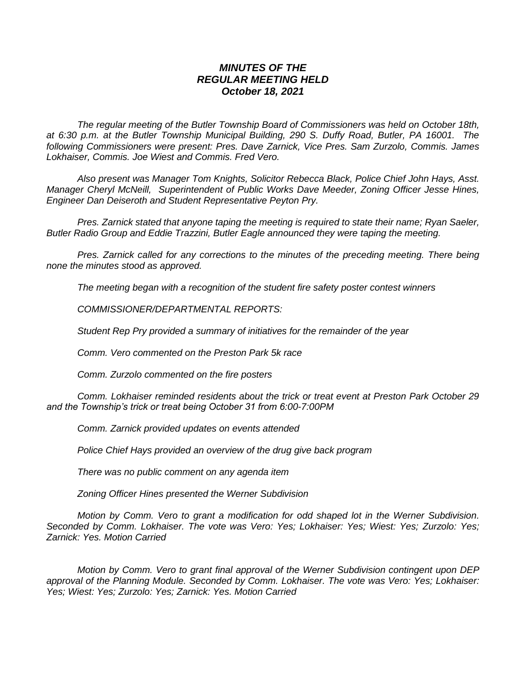## *MINUTES OF THE REGULAR MEETING HELD October 18, 2021*

*The regular meeting of the Butler Township Board of Commissioners was held on October 18th, at 6:30 p.m. at the Butler Township Municipal Building, 290 S. Duffy Road, Butler, PA 16001. The following Commissioners were present: Pres. Dave Zarnick, Vice Pres. Sam Zurzolo, Commis. James Lokhaiser, Commis. Joe Wiest and Commis. Fred Vero.*

*Also present was Manager Tom Knights, Solicitor Rebecca Black, Police Chief John Hays, Asst. Manager Cheryl McNeill, Superintendent of Public Works Dave Meeder, Zoning Officer Jesse Hines, Engineer Dan Deiseroth and Student Representative Peyton Pry.*

*Pres. Zarnick stated that anyone taping the meeting is required to state their name; Ryan Saeler, Butler Radio Group and Eddie Trazzini, Butler Eagle announced they were taping the meeting.*

*Pres. Zarnick called for any corrections to the minutes of the preceding meeting. There being none the minutes stood as approved.*

*The meeting began with a recognition of the student fire safety poster contest winners*

*COMMISSIONER/DEPARTMENTAL REPORTS:*

*Student Rep Pry provided a summary of initiatives for the remainder of the year*

*Comm. Vero commented on the Preston Park 5k race*

*Comm. Zurzolo commented on the fire posters*

*Comm. Lokhaiser reminded residents about the trick or treat event at Preston Park October 29 and the Township's trick or treat being October 31 from 6:00-7:00PM*

*Comm. Zarnick provided updates on events attended*

*Police Chief Hays provided an overview of the drug give back program*

*There was no public comment on any agenda item*

*Zoning Officer Hines presented the Werner Subdivision*

*Motion by Comm. Vero to grant a modification for odd shaped lot in the Werner Subdivision. Seconded by Comm. Lokhaiser. The vote was Vero: Yes; Lokhaiser: Yes; Wiest: Yes; Zurzolo: Yes; Zarnick: Yes. Motion Carried*

*Motion by Comm. Vero to grant final approval of the Werner Subdivision contingent upon DEP approval of the Planning Module. Seconded by Comm. Lokhaiser. The vote was Vero: Yes; Lokhaiser: Yes; Wiest: Yes; Zurzolo: Yes; Zarnick: Yes. Motion Carried*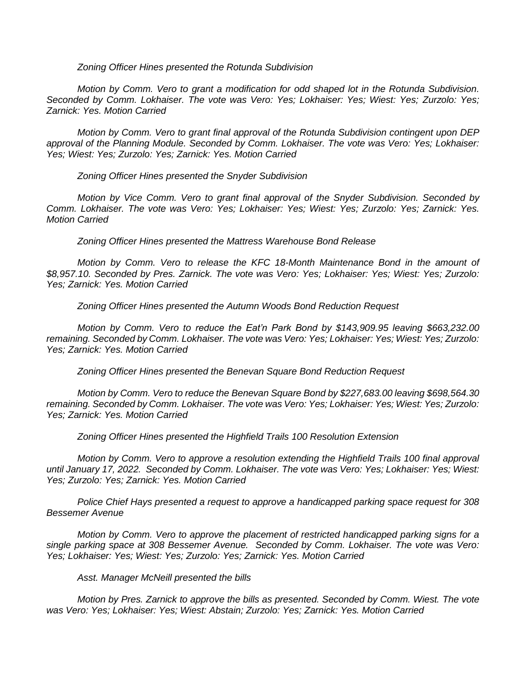## *Zoning Officer Hines presented the Rotunda Subdivision*

*Motion by Comm. Vero to grant a modification for odd shaped lot in the Rotunda Subdivision. Seconded by Comm. Lokhaiser. The vote was Vero: Yes; Lokhaiser: Yes; Wiest: Yes; Zurzolo: Yes; Zarnick: Yes. Motion Carried*

*Motion by Comm. Vero to grant final approval of the Rotunda Subdivision contingent upon DEP approval of the Planning Module. Seconded by Comm. Lokhaiser. The vote was Vero: Yes; Lokhaiser: Yes; Wiest: Yes; Zurzolo: Yes; Zarnick: Yes. Motion Carried*

*Zoning Officer Hines presented the Snyder Subdivision*

*Motion by Vice Comm. Vero to grant final approval of the Snyder Subdivision. Seconded by Comm. Lokhaiser. The vote was Vero: Yes; Lokhaiser: Yes; Wiest: Yes; Zurzolo: Yes; Zarnick: Yes. Motion Carried*

*Zoning Officer Hines presented the Mattress Warehouse Bond Release*

*Motion by Comm. Vero to release the KFC 18-Month Maintenance Bond in the amount of \$8,957.10. Seconded by Pres. Zarnick. The vote was Vero: Yes; Lokhaiser: Yes; Wiest: Yes; Zurzolo: Yes; Zarnick: Yes. Motion Carried*

*Zoning Officer Hines presented the Autumn Woods Bond Reduction Request*

*Motion by Comm. Vero to reduce the Eat'n Park Bond by \$143,909.95 leaving \$663,232.00 remaining. Seconded by Comm. Lokhaiser. The vote was Vero: Yes; Lokhaiser: Yes; Wiest: Yes; Zurzolo: Yes; Zarnick: Yes. Motion Carried*

*Zoning Officer Hines presented the Benevan Square Bond Reduction Request*

*Motion by Comm. Vero to reduce the Benevan Square Bond by \$227,683.00 leaving \$698,564.30 remaining. Seconded by Comm. Lokhaiser. The vote was Vero: Yes; Lokhaiser: Yes; Wiest: Yes; Zurzolo: Yes; Zarnick: Yes. Motion Carried*

*Zoning Officer Hines presented the Highfield Trails 100 Resolution Extension*

*Motion by Comm. Vero to approve a resolution extending the Highfield Trails 100 final approval until January 17, 2022. Seconded by Comm. Lokhaiser. The vote was Vero: Yes; Lokhaiser: Yes; Wiest: Yes; Zurzolo: Yes; Zarnick: Yes. Motion Carried*

*Police Chief Hays presented a request to approve a handicapped parking space request for 308 Bessemer Avenue*

*Motion by Comm. Vero to approve the placement of restricted handicapped parking signs for a single parking space at 308 Bessemer Avenue. Seconded by Comm. Lokhaiser. The vote was Vero: Yes; Lokhaiser: Yes; Wiest: Yes; Zurzolo: Yes; Zarnick: Yes. Motion Carried*

## *Asst. Manager McNeill presented the bills*

*Motion by Pres. Zarnick to approve the bills as presented. Seconded by Comm. Wiest. The vote was Vero: Yes; Lokhaiser: Yes; Wiest: Abstain; Zurzolo: Yes; Zarnick: Yes. Motion Carried*